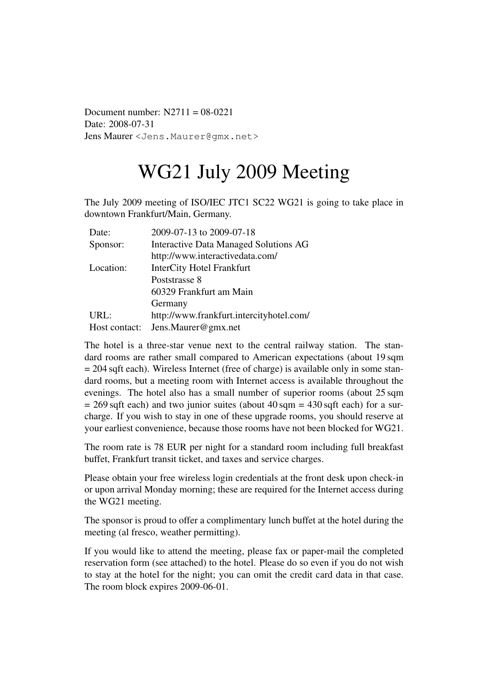Document number:  $N2711 = 08-0221$ Date: 2008-07-31 Jens Maurer <Jens.Maurer@gmx.net>

# WG21 July 2009 Meeting

The July 2009 meeting of ISO/IEC JTC1 SC22 WG21 is going to take place in downtown Frankfurt/Main, Germany.

| Date:         | 2009-07-13 to 2009-07-18                     |  |
|---------------|----------------------------------------------|--|
| Sponsor:      | <b>Interactive Data Managed Solutions AG</b> |  |
|               | http://www.interactivedata.com/              |  |
| Location:     | <b>InterCity Hotel Frankfurt</b>             |  |
|               | Poststrasse 8                                |  |
|               | 60329 Frankfurt am Main                      |  |
|               | Germany                                      |  |
| URL:          | http://www.frankfurt.intercityhotel.com/     |  |
| Host contact: | Jens.Maurer@gmx.net                          |  |

The hotel is a three-star venue next to the central railway station. The standard rooms are rather small compared to American expectations (about 19 sqm = 204 sqft each). Wireless Internet (free of charge) is available only in some standard rooms, but a meeting room with Internet access is available throughout the evenings. The hotel also has a small number of superior rooms (about 25 sqm  $= 269$  sqft each) and two junior suites (about  $40$  sqm  $= 430$  sqft each) for a surcharge. If you wish to stay in one of these upgrade rooms, you should reserve at your earliest convenience, because those rooms have not been blocked for WG21.

The room rate is 78 EUR per night for a standard room including full breakfast buffet, Frankfurt transit ticket, and taxes and service charges.

Please obtain your free wireless login credentials at the front desk upon check-in or upon arrival Monday morning; these are required for the Internet access during the WG21 meeting.

The sponsor is proud to offer a complimentary lunch buffet at the hotel during the meeting (al fresco, weather permitting).

If you would like to attend the meeting, please fax or paper-mail the completed reservation form (see attached) to the hotel. Please do so even if you do not wish to stay at the hotel for the night; you can omit the credit card data in that case. The room block expires 2009-06-01.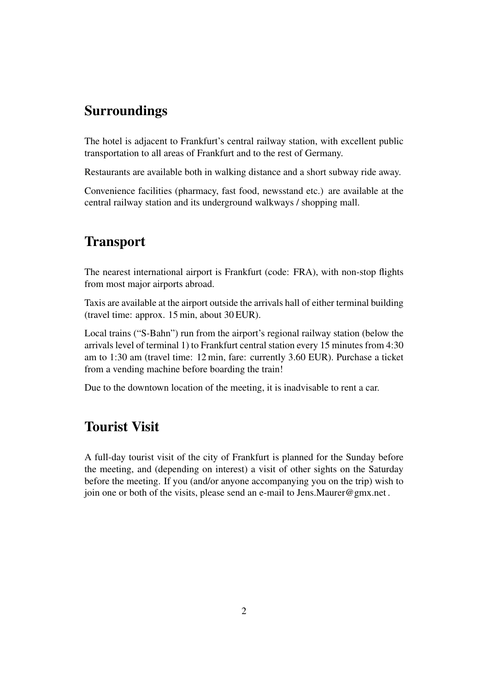### Surroundings

The hotel is adjacent to Frankfurt's central railway station, with excellent public transportation to all areas of Frankfurt and to the rest of Germany.

Restaurants are available both in walking distance and a short subway ride away.

Convenience facilities (pharmacy, fast food, newsstand etc.) are available at the central railway station and its underground walkways / shopping mall.

### **Transport**

The nearest international airport is Frankfurt (code: FRA), with non-stop flights from most major airports abroad.

Taxis are available at the airport outside the arrivals hall of either terminal building (travel time: approx. 15 min, about 30 EUR).

Local trains ("S-Bahn") run from the airport's regional railway station (below the arrivals level of terminal 1) to Frankfurt central station every 15 minutes from 4:30 am to 1:30 am (travel time: 12 min, fare: currently 3.60 EUR). Purchase a ticket from a vending machine before boarding the train!

Due to the downtown location of the meeting, it is inadvisable to rent a car.

### Tourist Visit

A full-day tourist visit of the city of Frankfurt is planned for the Sunday before the meeting, and (depending on interest) a visit of other sights on the Saturday before the meeting. If you (and/or anyone accompanying you on the trip) wish to join one or both of the visits, please send an e-mail to Jens.Maurer@gmx.net .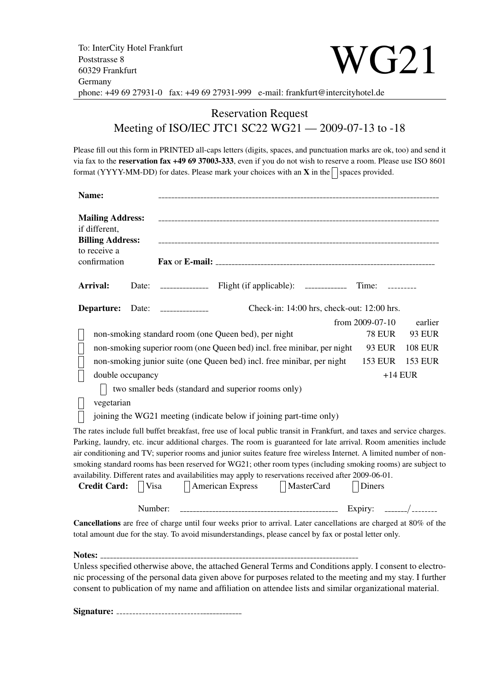### Reservation Request Meeting of ISO/IEC JTC1 SC22 WG21 — 2009-07-13 to -18

Please fill out this form in PRINTED all-caps letters (digits, spaces, and punctuation marks are ok, too) and send it via fax to the reservation fax +49 69 37003-333, even if you do not wish to reserve a room. Please use ISO 8601 format (YYYY-MM-DD) for dates. Please mark your choices with an  $X$  in the  $\Box$  spaces provided.

| Name:                                                                                                        |                                            |                             |                                                                                                                        |                 |                |  |
|--------------------------------------------------------------------------------------------------------------|--------------------------------------------|-----------------------------|------------------------------------------------------------------------------------------------------------------------|-----------------|----------------|--|
| <b>Mailing Address:</b><br>if different,<br><b>Billing Address:</b><br>to receive a<br>confirmation          |                                            |                             |                                                                                                                        |                 |                |  |
|                                                                                                              | Arrival:                                   | Date:                       |                                                                                                                        | Time:           |                |  |
| Departure:                                                                                                   | Check-in: 14:00 hrs, check-out: 12:00 hrs. |                             |                                                                                                                        |                 |                |  |
|                                                                                                              |                                            |                             |                                                                                                                        | from 2009-07-10 | earlier        |  |
|                                                                                                              |                                            |                             | non-smoking standard room (one Queen bed), per night                                                                   | <b>78 EUR</b>   | <b>93 EUR</b>  |  |
|                                                                                                              |                                            |                             | non-smoking superior room (one Queen bed) incl. free minibar, per night                                                | <b>93 EUR</b>   | <b>108 EUR</b> |  |
|                                                                                                              |                                            |                             | non-smoking junior suite (one Queen bed) incl. free minibar, per night                                                 | 153 EUR         | <b>153 EUR</b> |  |
|                                                                                                              | double occupancy                           |                             |                                                                                                                        | $+14$ EUR       |                |  |
| two smaller beds (standard and superior rooms only)                                                          |                                            |                             |                                                                                                                        |                 |                |  |
|                                                                                                              | vegetarian                                 |                             |                                                                                                                        |                 |                |  |
|                                                                                                              |                                            |                             | joining the WG21 meeting (indicate below if joining part-time only)                                                    |                 |                |  |
|                                                                                                              |                                            |                             | The rates include full buffet breakfast, free use of local public transit in Frankfurt, and taxes and service charges. |                 |                |  |
|                                                                                                              |                                            |                             | Parking, laundry, etc. incur additional charges. The room is guaranteed for late arrival. Room amenities include       |                 |                |  |
|                                                                                                              |                                            |                             | air conditioning and TV; superior rooms and junior suites feature free wireless Internet. A limited number of non-     |                 |                |  |
| smoking standard rooms has been reserved for WG21; other room types (including smoking rooms) are subject to |                                            |                             |                                                                                                                        |                 |                |  |
| availability. Different rates and availabilities may apply to reservations received after 2009-06-01.        |                                            |                             |                                                                                                                        |                 |                |  |
|                                                                                                              | <b>Credit Card:</b>                        | <b>Visa</b><br>$\mathsf{L}$ | American Express<br>    MasterCard                                                                                     | Diners          |                |  |
|                                                                                                              |                                            | Number:                     |                                                                                                                        |                 |                |  |
|                                                                                                              |                                            |                             | Cancellations are free of charge until four weeks prior to arrival. Later cancellations are charged at 80% of the      |                 |                |  |
|                                                                                                              |                                            |                             | total amount due for the stay. To avoid misunderstandings, please cancel by fax or postal letter only.                 |                 |                |  |
|                                                                                                              |                                            |                             |                                                                                                                        |                 |                |  |
|                                                                                                              |                                            |                             | Unless specified otherwise above, the attached General Terms and Conditions apply. I consent to electro-               |                 |                |  |
|                                                                                                              |                                            |                             | nic processing of the personal data given above for purposes related to the meeting and my stay. I further             |                 |                |  |
|                                                                                                              |                                            |                             | consent to publication of my name and affiliation on attendee lists and similar organizational material.               |                 |                |  |

Signature: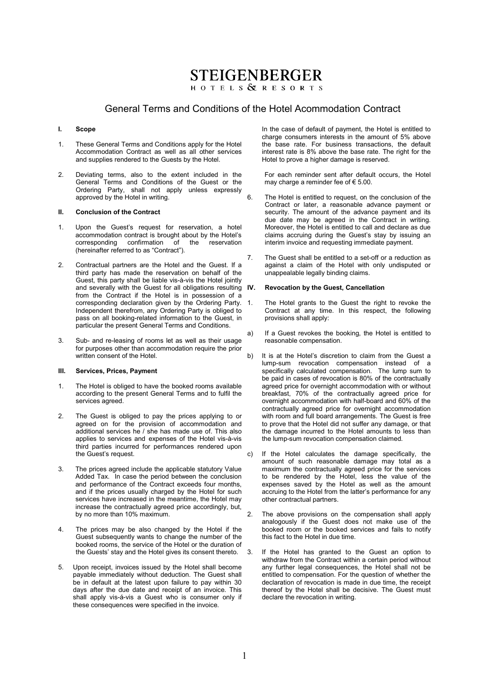## **STEIGENBERGER**

**HOTELS & RESORTS** 

#### General Terms and Conditions of the Hotel Acommodation Contract

#### **I. Scope**

- 1. These General Terms and Conditions apply for the Hotel Accommodation Contract as well as all other services and supplies rendered to the Guests by the Hotel.
- 2. Deviating terms, also to the extent included in the General Terms and Conditions of the Guest or the Ordering Party, shall not apply unless expressly approved by the Hotel in writing.

#### **II. Conclusion of the Contract**

- 1. Upon the Guest's request for reservation, a hotel accommodation contract is brought about by the Hotel's corresponding confirmation of the reservation (hereinafter referred to as "Contract").
- 2. Contractual partners are the Hotel and the Guest. If a third party has made the reservation on behalf of the Guest, this party shall be liable vis-à-vis the Hotel jointly and severally with the Guest for all obligations resulting IV. from the Contract if the Hotel is in possession of a corresponding declaration given by the Ordering Party. Independent therefrom, any Ordering Party is obliged to pass on all booking-related information to the Guest, in particular the present General Terms and Conditions.
- 3. Sub- and re-leasing of rooms let as well as their usage for purposes other than accommodation require the prior written consent of the Hotel.

#### **III. Services, Prices, Payment**

- 1. The Hotel is obliged to have the booked rooms available according to the present General Terms and to fulfil the services agreed.
- 2. The Guest is obliged to pay the prices applying to or agreed on for the provision of accommodation and additional services he / she has made use of. This also applies to services and expenses of the Hotel vis-à-vis third parties incurred for performances rendered upon the Guest's request.
- 3. The prices agreed include the applicable statutory Value Added Tax. In case the period between the conclusion and performance of the Contract exceeds four months, and if the prices usually charged by the Hotel for such services have increased in the meantime, the Hotel may increase the contractually agreed price accordingly, but, by no more than 10% maximum.
- 4. The prices may be also changed by the Hotel if the Guest subsequently wants to change the number of the booked rooms, the service of the Hotel or the duration of the Guests' stay and the Hotel gives its consent thereto.
- 5. Upon receipt, invoices issued by the Hotel shall become payable immediately without deduction. The Guest shall be in default at the latest upon failure to pay within 30 days after the due date and receipt of an invoice. This shall apply vis-á-vis a Guest who is consumer only if these consequences were specified in the invoice.

In the case of default of payment, the Hotel is entitled to charge consumers interests in the amount of 5% above the base rate. For business transactions, the default interest rate is 8% above the base rate. The right for the Hotel to prove a higher damage is reserved.

For each reminder sent after default occurs, the Hotel may charge a reminder fee of  $\epsilon$  5.00.

- 6. The Hotel is entitled to request, on the conclusion of the Contract or later, a reasonable advance payment or security. The amount of the advance payment and its due date may be agreed in the Contract in writing. Moreover, the Hotel is entitled to call and declare as due claims accruing during the Guest's stay by issuing an interim invoice and requesting immediate payment.
- 7. The Guest shall be entitled to a set-off or a reduction as against a claim of the Hotel with only undisputed or unappealable legally binding claims.

#### **IV. Revocation by the Guest, Cancellation**

- 1. The Hotel grants to the Guest the right to revoke the Contract at any time. In this respect, the following provisions shall apply:
- a) If a Guest revokes the booking, the Hotel is entitled to reasonable compensation.
- b) It is at the Hotel's discretion to claim from the Guest a lump-sum revocation compensation instead of a specifically calculated compensation. The lump sum to be paid in cases of revocation is 80% of the contractually agreed price for overnight accommodation with or without breakfast, 70% of the contractually agreed price for overnight accommodation with half-board and 60% of the contractually agreed price for overnight accommodation with room and full board arrangements. The Guest is free to prove that the Hotel did not suffer any damage, or that the damage incurred to the Hotel amounts to less than the lump-sum revocation compensation claimed.
- c) If the Hotel calculates the damage specifically, the amount of such reasonable damage may total as a maximum the contractually agreed price for the services to be rendered by the Hotel, less the value of the expenses saved by the Hotel as well as the amount accruing to the Hotel from the latter's performance for any other contractual partners.
- 2. The above provisions on the compensation shall apply analogously if the Guest does not make use of the booked room or the booked services and fails to notify this fact to the Hotel in due time.
- 3. If the Hotel has granted to the Guest an option to withdraw from the Contract within a certain period without any further legal consequences, the Hotel shall not be entitled to compensation. For the question of whether the declaration of revocation is made in due time, the receipt thereof by the Hotel shall be decisive. The Guest must declare the revocation in writing.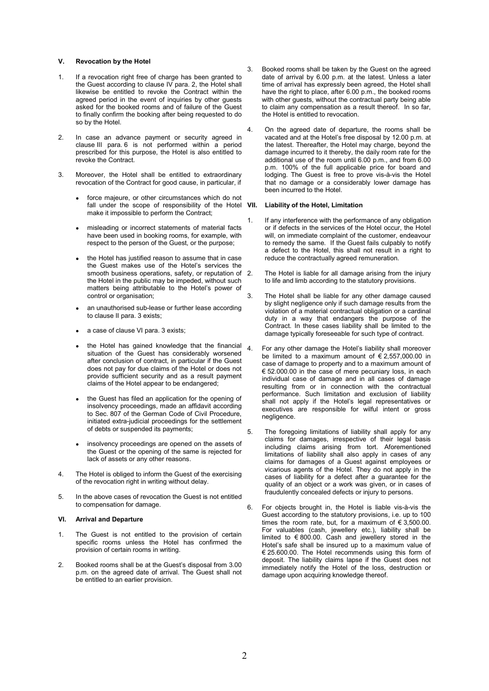#### **V. Revocation by the Hotel**

- 1. If a revocation right free of charge has been granted to the Guest according to clause IV para. 2, the Hotel shall likewise be entitled to revoke the Contract within the agreed period in the event of inquiries by other guests asked for the booked rooms and of failure of the Guest to finally confirm the booking after being requested to do so by the Hotel.
- 2. In case an advance payment or security agreed in clause III para. 6 is not performed within a period prescribed for this purpose, the Hotel is also entitled to revoke the Contract.
- 3. Moreover, the Hotel shall be entitled to extraordinary revocation of the Contract for good cause, in particular, if
	- force majeure, or other circumstances which do not fall under the scope of responsibility of the Hotel VII. make it impossible to perform the Contract;
	- misleading or incorrect statements of material facts have been used in booking rooms, for example, with respect to the person of the Guest, or the purpose;
	- the Hotel has justified reason to assume that in case the Guest makes use of the Hotel's services the smooth business operations, safety, or reputation of 2. the Hotel in the public may be impeded, without such matters being attributable to the Hotel's power of control or organisation;
	- an unauthorised sub-lease or further lease according to clause II para. 3 exists;
	- a case of clause VI para. 3 exists;
	- the Hotel has gained knowledge that the financial situation of the Guest has considerably worsened after conclusion of contract, in particular if the Guest does not pay for due claims of the Hotel or does not provide sufficient security and as a result payment claims of the Hotel appear to be endangered;
	- the Guest has filed an application for the opening of insolvency proceedings, made an affidavit according to Sec. 807 of the German Code of Civil Procedure, initiated extra-judicial proceedings for the settlement of debts or suspended its payments;
	- insolvency proceedings are opened on the assets of the Guest or the opening of the same is rejected for lack of assets or any other reasons.
- 4. The Hotel is obliged to inform the Guest of the exercising of the revocation right in writing without delay.
- 5. In the above cases of revocation the Guest is not entitled to compensation for damage.

#### **VI. Arrival and Departure**

- 1. The Guest is not entitled to the provision of certain specific rooms unless the Hotel has confirmed the provision of certain rooms in writing.
- 2. Booked rooms shall be at the Guest's disposal from 3.00 p.m. on the agreed date of arrival. The Guest shall not be entitled to an earlier provision.
- 3. Booked rooms shall be taken by the Guest on the agreed date of arrival by 6.00 p.m. at the latest. Unless a later time of arrival has expressly been agreed, the Hotel shall have the right to place, after 6.00 p.m., the booked rooms with other guests, without the contractual party being able to claim any compensation as a result thereof. In so far, the Hotel is entitled to revocation.
- 4. On the agreed date of departure, the rooms shall be vacated and at the Hotel's free disposal by 12.00 p.m. at the latest. Thereafter, the Hotel may charge, beyond the damage incurred to it thereby, the daily room rate for the additional use of the room until 6.00 p.m., and from 6.00 p.m. 100% of the full applicable price for board and lodging. The Guest is free to prove vis-à-vis the Hotel that no damage or a considerably lower damage has been incurred to the Hotel.

#### **Liability of the Hotel, Limitation**

- 1. If any interference with the performance of any obligation or if defects in the services of the Hotel occur, the Hotel will, on immediate complaint of the customer, endeavour to remedy the same. If the Guest fails culpably to notify a defect to the Hotel, this shall not result in a right to reduce the contractually agreed remuneration.
- The Hotel is liable for all damage arising from the injury to life and limb according to the statutory provisions.
- 3. The Hotel shall be liable for any other damage caused by slight negligence only if such damage results from the violation of a material contractual obligation or a cardinal duty in a way that endangers the purpose of the Contract. In these cases liability shall be limited to the damage typically foreseeable for such type of contract.
- 4. For any other damage the Hotel's liability shall moreover be limited to a maximum amount of  $\epsilon$  2,557,000.00 in case of damage to property and to a maximum amount of € 52.000.00 in the case of mere pecuniary loss, in each individual case of damage and in all cases of damage resulting from or in connection with the contractual performance. Such limitation and exclusion of liability shall not apply if the Hotel's legal representatives or executives are responsible for wilful intent or gross negligence.
- 5. The foregoing limitations of liability shall apply for any claims for damages, irrespective of their legal basis including claims arising from tort. Aforementioned limitations of liability shall also apply in cases of any claims for damages of a Guest against employees or vicarious agents of the Hotel. They do not apply in the cases of liability for a defect after a guarantee for the quality of an object or a work was given, or in cases of fraudulently concealed defects or injury to persons.
- 6. For objects brought in, the Hotel is liable vis-à-vis the Guest according to the statutory provisions, i.e. up to 100 times the room rate, but, for a maximum of  $\epsilon$  3,500.00. For valuables (cash, jewellery etc.), liability shall be limited to € 800.00. Cash and jewellery stored in the Hotel's safe shall be insured up to a maximum value of € 25.600.00. The Hotel recommends using this form of deposit. The liability claims lapse if the Guest does not immediately notify the Hotel of the loss, destruction or damage upon acquiring knowledge thereof.